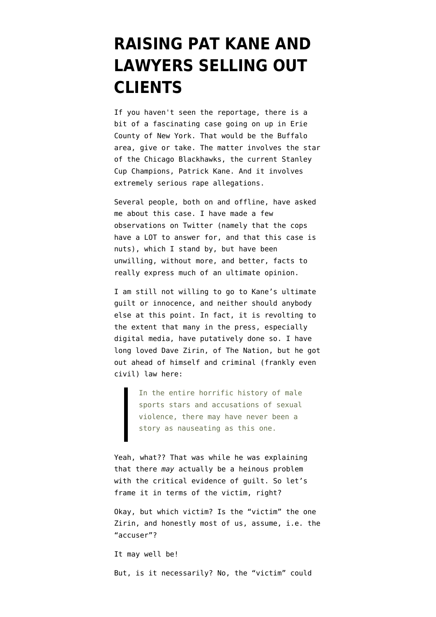## **[RAISING PAT KANE AND](https://www.emptywheel.net/2015/09/25/raising-pat-kane-and-lawyers-selling-out-clients/) [LAWYERS SELLING OUT](https://www.emptywheel.net/2015/09/25/raising-pat-kane-and-lawyers-selling-out-clients/) [CLIENTS](https://www.emptywheel.net/2015/09/25/raising-pat-kane-and-lawyers-selling-out-clients/)**

If you haven't seen the reportage, there is a bit of a fascinating case going on up in Erie County of New York. That would be the Buffalo area, give or take. The matter involves the star of the Chicago Blackhawks, the current Stanley Cup Champions, Patrick Kane. And it involves extremely serious rape allegations.

Several people, both on and offline, have asked me about this case. I have made a few observations on Twitter (namely that the cops have a LOT to answer for, and that this case is nuts), which I stand by, but have been unwilling, without more, and better, facts to really express much of an ultimate opinion.

I am still not willing to go to Kane's ultimate guilt or innocence, and neither should anybody else at this point. In fact, it is revolting to the extent that many in the press, especially digital media, have putatively done so. I have long loved Dave Zirin, of The Nation, but he got out [ahead of himself and criminal \(frankly even](http://www.thenation.com/article/the-patrick-kane-case-marks-a-new-low-in-the-long-history-of-rape-accusations-against-athletes/) [civil\) law here:](http://www.thenation.com/article/the-patrick-kane-case-marks-a-new-low-in-the-long-history-of-rape-accusations-against-athletes/)

> In the entire horrific history of male sports stars and accusations of sexual violence, there may have never been a story as nauseating as this one.

Yeah, what?? That was while he was explaining that there *may* actually be a heinous problem with the critical evidence of quilt. So let's frame it in terms of the victim, right?

Okay, but which victim? Is the "victim" the one Zirin, and honestly most of us, assume, i.e. the "accuser"?

It may well be!

But, is it necessarily? No, the "victim" could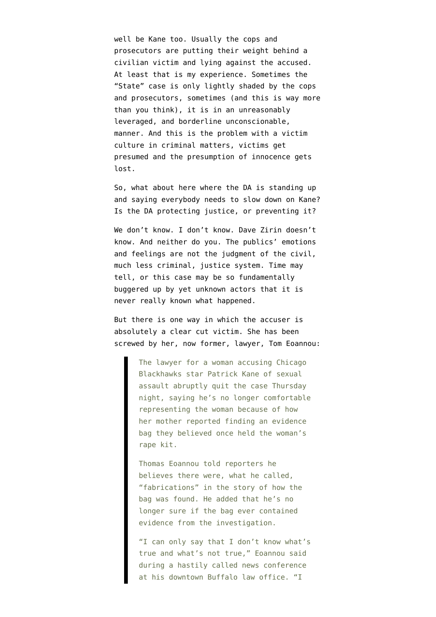well be Kane too. Usually the cops and prosecutors are putting their weight behind a civilian victim and lying against the accused. At least that is my experience. Sometimes the "State" case is only lightly shaded by the cops and prosecutors, sometimes (and this is way more than you think), it is in an unreasonably leveraged, and borderline unconscionable, manner. And this is the problem with a victim culture in criminal matters, victims get presumed and the presumption of innocence gets lost.

So, what about here where the DA is standing up and saying everybody needs to slow down on Kane? Is the DA protecting justice, or preventing it?

We don't know. I don't know. Dave Zirin doesn't know. And neither do you. The publics' emotions and feelings are not the judgment of the civil, much less criminal, justice system. Time may tell, or this case may be so fundamentally buggered up by yet unknown actors that it is never really known what happened.

But there is one way in which the accuser is absolutely a clear cut victim. She has [been](http://espn.go.com/chicago/nhl/story/_/id/13734356/patrick-kane-accuser-lawyer-quits-case-concerns-how-evidence-bag-was-found) [screwed by her, now former, lawyer, Tom Eoannou:](http://espn.go.com/chicago/nhl/story/_/id/13734356/patrick-kane-accuser-lawyer-quits-case-concerns-how-evidence-bag-was-found)

> The lawyer for a woman accusing Chicago Blackhawks star Patrick Kane of sexual assault abruptly quit the case Thursday night, saying he's no longer comfortable representing the woman because of how her mother reported finding an evidence bag they believed once held the woman's rape kit.

Thomas Eoannou told reporters he believes there were, what he called, "fabrications" in the story of how the bag was found. He added that he's no longer sure if the bag ever contained evidence from the investigation.

"I can only say that I don't know what's true and what's not true," Eoannou said during a hastily called news conference at his downtown Buffalo law office. "I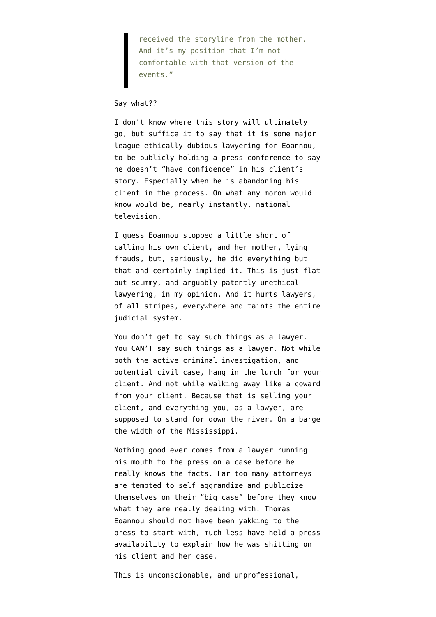received the storyline from the mother. And it's my position that I'm not comfortable with that version of the events."

## Say what??

I don't know where this story will ultimately go, but suffice it to say that it is some major league ethically dubious lawyering for Eoannou, to be publicly holding a press conference to say he doesn't "have confidence" in his client's story. Especially when he is abandoning his client in the process. On what any moron would know would be, nearly instantly, national television.

I guess Eoannou stopped a little short of calling his own client, and her mother, lying frauds, but, seriously, he did everything but that and certainly implied it. This is just flat out scummy, and arguably patently unethical lawyering, [in my opinion.](https://www.youtube.com/watch?v=WkeNd1Ni4Uw) And it hurts lawyers, of all stripes, everywhere and taints the entire judicial system.

You don't get to say such things as a lawyer. You CAN'T say such things as a lawyer. Not while both the active criminal investigation, and potential civil case, hang in the lurch for your client. And not while walking away like a coward from your client. Because that is selling your client, and everything you, as a lawyer, are supposed to stand for down the river. On a barge the width of the Mississippi.

Nothing good ever comes from a lawyer running his mouth to the press on a case before he really knows the facts. Far too many attorneys are tempted to self aggrandize and publicize themselves on their "big case" before they know what they are really dealing with. Thomas Eoannou should not have been yakking to the press to start with, much less have held a press availability to explain how he was shitting on his client and her case.

This is unconscionable, and unprofessional,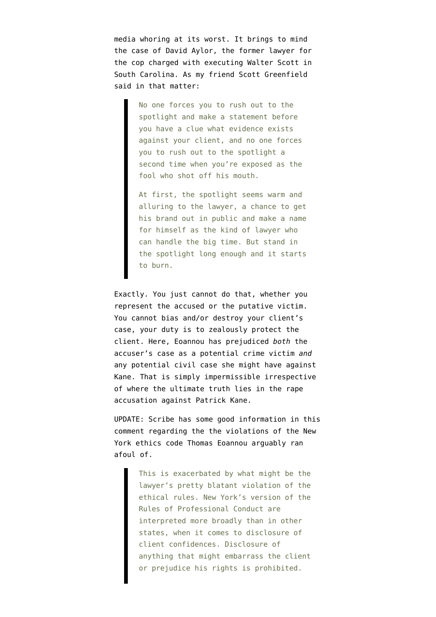media whoring at its worst. It brings to mind [the case of David Aylor,](http://blog.simplejustice.us/2015/04/09/david-aylor-the-other-shooter/) the former lawyer for the cop charged with executing Walter Scott in South Carolina. As my friend Scott Greenfield said in that matter:

> No one forces you to rush out to the spotlight and make a statement before you have a clue what evidence exists against your client, and no one forces you to rush out to the spotlight a second time when you're exposed as the fool who shot off his mouth.

At first, the spotlight seems warm and alluring to the lawyer, a chance to get his brand out in public and make a name for himself as the kind of lawyer who can handle the big time. But stand in the spotlight long enough and it starts to burn.

Exactly. You just cannot do that, whether you represent the accused or the putative victim. You cannot bias and/or destroy your client's case, your duty is to zealously protect the client. Here, Eoannou has prejudiced *both* the accuser's case as a potential crime victim *and* any potential civil case she might have against Kane. That is simply impermissible irrespective of where the ultimate truth lies in the rape accusation against Patrick Kane.

UPDATE: Scribe has some good information [in this](https://www.emptywheel.net/2015/09/25/raising-pat-kane-and-lawyers-selling-out-clients/#comment-695462) [comment](https://www.emptywheel.net/2015/09/25/raising-pat-kane-and-lawyers-selling-out-clients/#comment-695462) regarding the the violations of the [New](http://www.nycourts.gov/rules/jointappellate/ny-rules-prof-conduct-1200.pdf) [York ethics code](http://www.nycourts.gov/rules/jointappellate/ny-rules-prof-conduct-1200.pdf) Thomas Eoannou arguably ran afoul of.

> This is exacerbated by what might be the lawyer's pretty blatant violation of the ethical rules. New York's version of the Rules of Professional Conduct are interpreted more broadly than in other states, when it comes to disclosure of client confidences. Disclosure of anything that might embarrass the client or prejudice his rights is prohibited.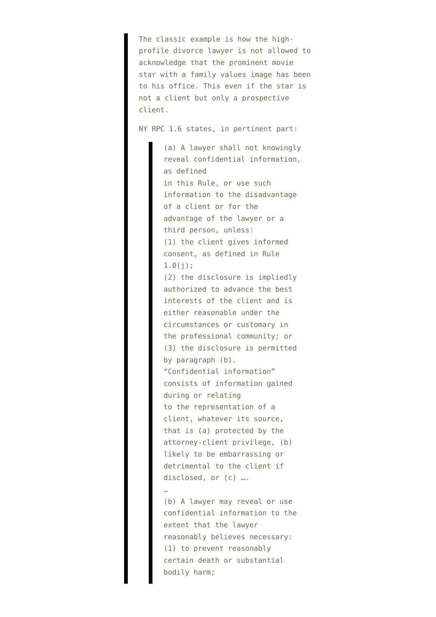The classic example is how the highprofile divorce lawyer is not allowed to acknowledge that the prominent movie star with a family values image has been to his office. This even if the star is not a client but only a prospective client.

NY RPC 1.6 states, in pertinent part:

(a) A lawyer shall not knowingly reveal confidential information, as defined in this Rule, or use such information to the disadvantage of a client or for the advantage of the lawyer or a third person, unless: (1) the client gives informed consent, as defined in Rule  $1.0(j);$ (2) the disclosure is impliedly authorized to advance the best interests of the client and is either reasonable under the circumstances or customary in the professional community; or (3) the disclosure is permitted by paragraph (b). "Confidential information" consists of information gained during or relating to the representation of a client, whatever its source, that is (a) protected by the attorney-client privilege, (b) likely to be embarrassing or detrimental to the client if disclosed, or (c) …. …

(b) A lawyer may reveal or use confidential information to the extent that the lawyer reasonably believes necessary: (1) to prevent reasonably certain death or substantial bodily harm;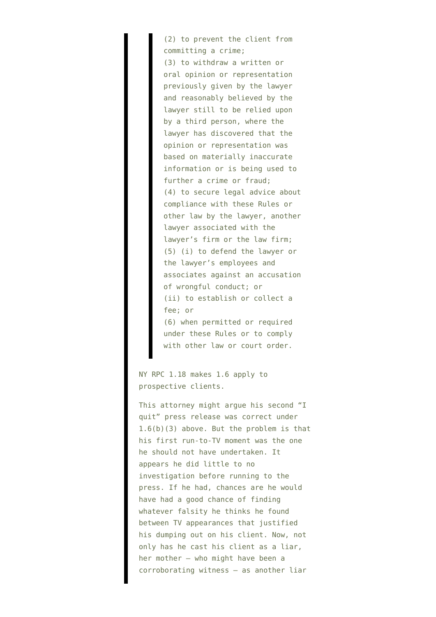(2) to prevent the client from committing a crime; (3) to withdraw a written or oral opinion or representation previously given by the lawyer and reasonably believed by the lawyer still to be relied upon by a third person, where the lawyer has discovered that the opinion or representation was based on materially inaccurate information or is being used to further a crime or fraud; (4) to secure legal advice about compliance with these Rules or other law by the lawyer, another lawyer associated with the lawyer's firm or the law firm; (5) (i) to defend the lawyer or the lawyer's employees and associates against an accusation of wrongful conduct; or (ii) to establish or collect a fee; or (6) when permitted or required

under these Rules or to comply with other law or court order.

NY RPC 1.18 makes 1.6 apply to prospective clients.

This attorney might argue his second "I quit" press release was correct under 1.6(b)(3) above. But the problem is that his first run-to-TV moment was the one he should not have undertaken. It appears he did little to no investigation before running to the press. If he had, chances are he would have had a good chance of finding whatever falsity he thinks he found between TV appearances that justified his dumping out on his client. Now, not only has he cast his client as a liar, her mother – who might have been a corroborating witness – as another liar